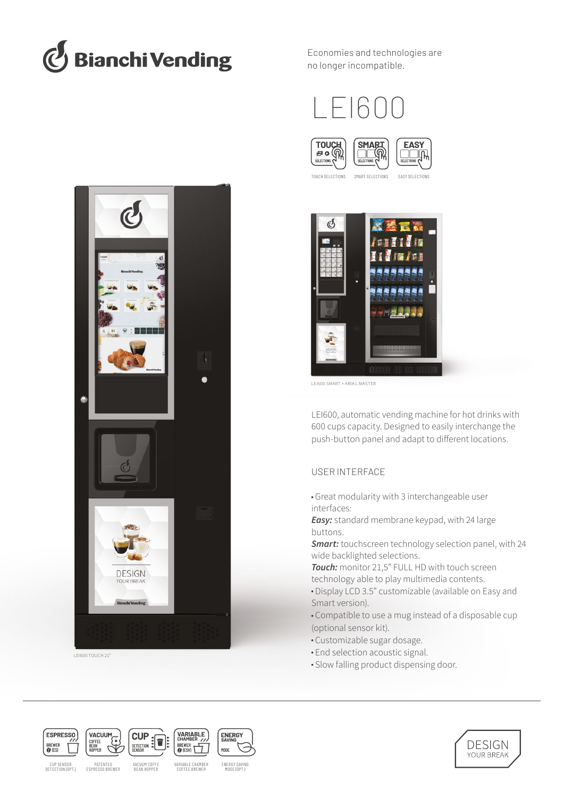

Economies and technologies are no longer incompatible.









LEI600 SMART + ARIA L MASTER

LEI600, automatic vending machine for hot drinks with 600 cups capacity. Designed to easily interchange the push-button panel and adapt to different locations.

# USER INTERFACE

- Great modularity with 3 interchangeable user interfaces:
- *Easy:* standard membrane keypad, with 24 large buttons.

*Smart:* touchscreen technology selection panel, with 24 wide backlighted selections.

*Touch:* monitor 21,5" FULL HD with touch screen technology able to play multimedia contents.

- Display LCD 3.5" customizable (available on Easy and Smart version).
- Compatible to use a mug instead of a disposable cup (optional sensor kit).
- Customizable sugar dosage.
- End selection acoustic signal.
- Slow falling product dispensing door.



LEI600 TOUCH 21"